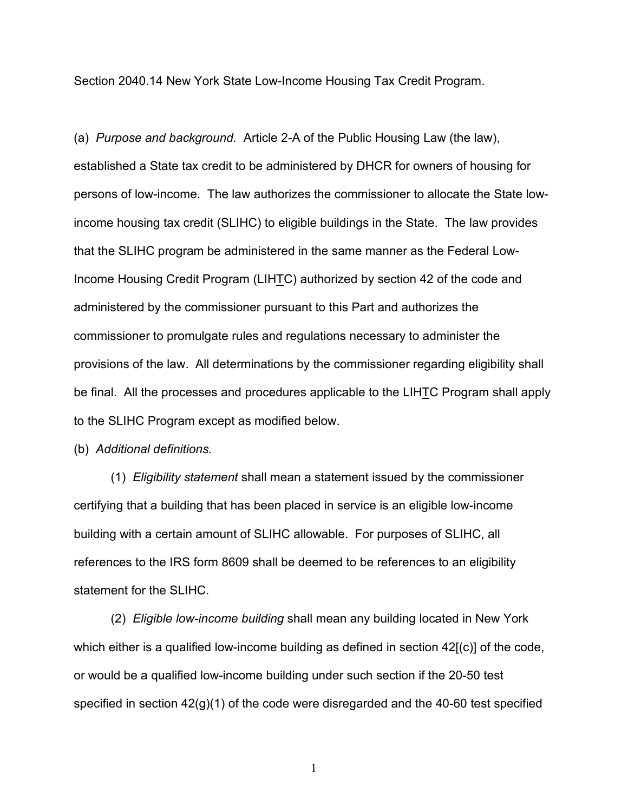Section 2040.14 New York State Low-Income Housing Tax Credit Program.

(a) *Purpose and background.* Article 2-A of the Public Housing Law (the law), established a State tax credit to be administered by DHCR for owners of housing for persons of low-income. The law authorizes the commissioner to allocate the State lowincome housing tax credit (SLIHC) to eligible buildings in the State. The law provides that the SLIHC program be administered in the same manner as the Federal Low-Income Housing Credit Program (LIHTC) authorized by section 42 of the code and administered by the commissioner pursuant to this Part and authorizes the commissioner to promulgate rules and regulations necessary to administer the provisions of the law. All determinations by the commissioner regarding eligibility shall be final. All the processes and procedures applicable to the LIHTC Program shall apply to the SLIHC Program except as modified below.

(b) *Additional definitions.*

(1) *Eligibility statement* shall mean a statement issued by the commissioner certifying that a building that has been placed in service is an eligible low-income building with a certain amount of SLIHC allowable. For purposes of SLIHC, all references to the IRS form 8609 shall be deemed to be references to an eligibility statement for the SLIHC.

(2) *Eligible low-income building* shall mean any building located in New York which either is a qualified low-income building as defined in section 42[(c)] of the code, or would be a qualified low-income building under such section if the 20-50 test specified in section 42(g)(1) of the code were disregarded and the 40-60 test specified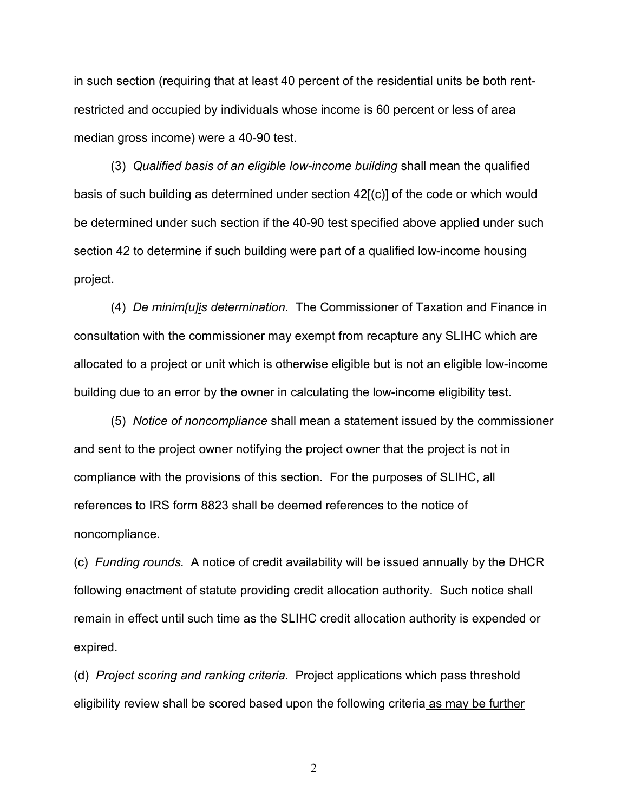in such section (requiring that at least 40 percent of the residential units be both rentrestricted and occupied by individuals whose income is 60 percent or less of area median gross income) were a 40-90 test.

(3) *Qualified basis of an eligible low-income building* shall mean the qualified basis of such building as determined under section 42[(c)] of the code or which would be determined under such section if the 40-90 test specified above applied under such section 42 to determine if such building were part of a qualified low-income housing project.

(4) *De minim[u]is determination.* The Commissioner of Taxation and Finance in consultation with the commissioner may exempt from recapture any SLIHC which are allocated to a project or unit which is otherwise eligible but is not an eligible low-income building due to an error by the owner in calculating the low-income eligibility test.

(5) *Notice of noncompliance* shall mean a statement issued by the commissioner and sent to the project owner notifying the project owner that the project is not in compliance with the provisions of this section. For the purposes of SLIHC, all references to IRS form 8823 shall be deemed references to the notice of noncompliance.

(c) *Funding rounds.* A notice of credit availability will be issued annually by the DHCR following enactment of statute providing credit allocation authority. Such notice shall remain in effect until such time as the SLIHC credit allocation authority is expended or expired.

(d) *Project scoring and ranking criteria.* Project applications which pass threshold eligibility review shall be scored based upon the following criteria as may be further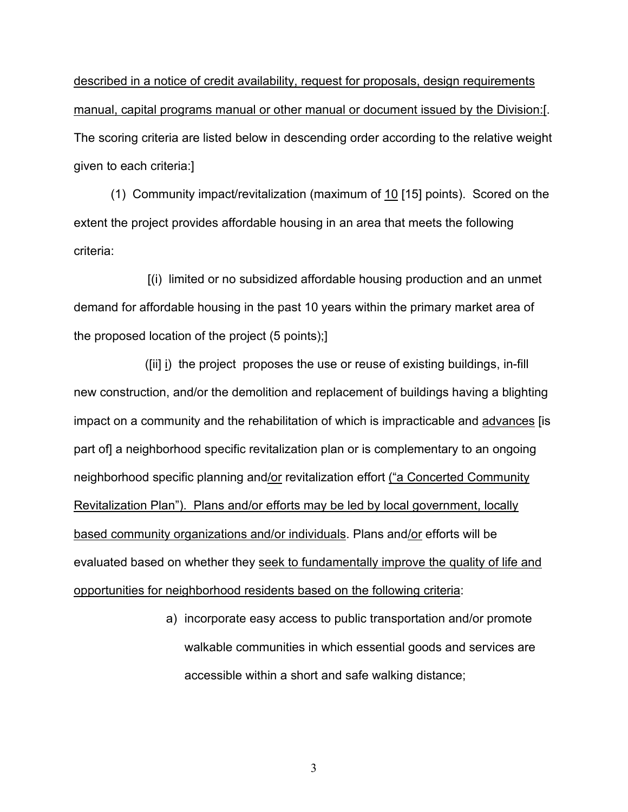described in a notice of credit availability, request for proposals, design requirements manual, capital programs manual or other manual or document issued by the Division:[. The scoring criteria are listed below in descending order according to the relative weight given to each criteria:]

(1) Community impact/revitalization (maximum of 10 [15] points). Scored on the extent the project provides affordable housing in an area that meets the following criteria:

[(i) limited or no subsidized affordable housing production and an unmet demand for affordable housing in the past 10 years within the primary market area of the proposed location of the project (5 points);]

 ([ii] i) the project proposes the use or reuse of existing buildings, in-fill new construction, and/or the demolition and replacement of buildings having a blighting impact on a community and the rehabilitation of which is impracticable and advances [is part of] a neighborhood specific revitalization plan or is complementary to an ongoing neighborhood specific planning and/or revitalization effort ("a Concerted Community Revitalization Plan"). Plans and/or efforts may be led by local government, locally based community organizations and/or individuals. Plans and/or efforts will be evaluated based on whether they seek to fundamentally improve the quality of life and opportunities for neighborhood residents based on the following criteria:

> a) incorporate easy access to public transportation and/or promote walkable communities in which essential goods and services are accessible within a short and safe walking distance;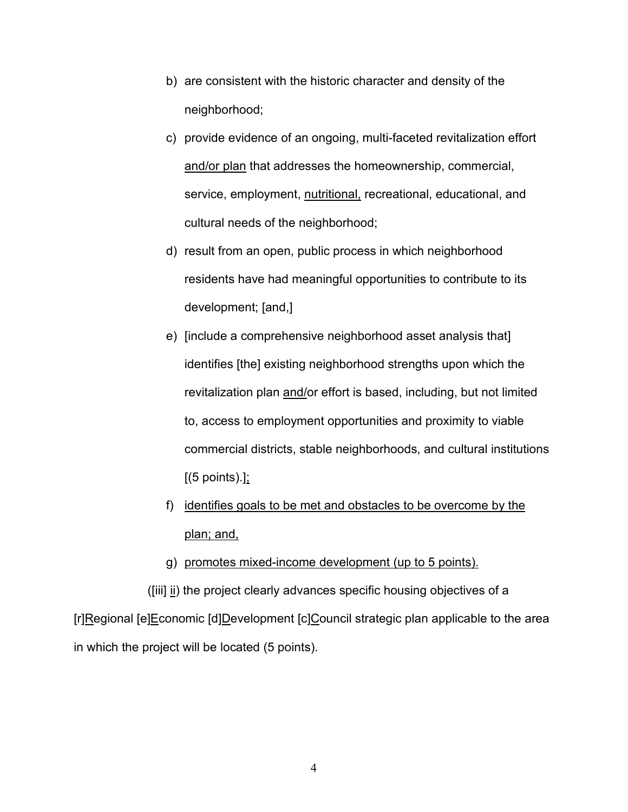- b) are consistent with the historic character and density of the neighborhood;
- c) provide evidence of an ongoing, multi-faceted revitalization effort and/or plan that addresses the homeownership, commercial, service, employment, nutritional, recreational, educational, and cultural needs of the neighborhood;
- d) result from an open, public process in which neighborhood residents have had meaningful opportunities to contribute to its development; [and,]
- e) [include a comprehensive neighborhood asset analysis that] identifies [the] existing neighborhood strengths upon which the revitalization plan and/or effort is based, including, but not limited to, access to employment opportunities and proximity to viable commercial districts, stable neighborhoods, and cultural institutions  $[(5 \text{ points}).]$ ;
- f) identifies goals to be met and obstacles to be overcome by the plan; and,
- g) promotes mixed-income development (up to 5 points).

([iii] ii) the project clearly advances specific housing objectives of a

[r]Regional [e]Economic [d]Development [c]Council strategic plan applicable to the area in which the project will be located (5 points).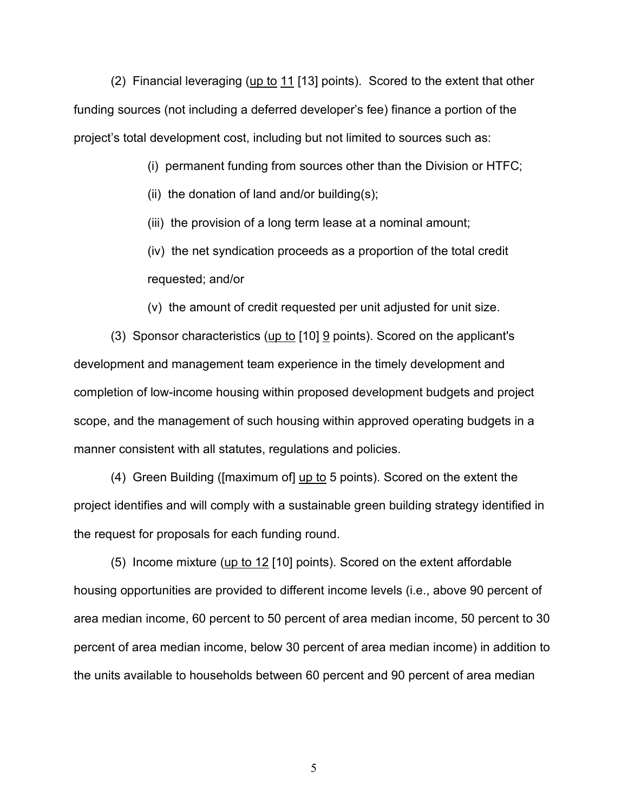(2) Financial leveraging (up to  $11$  [13] points). Scored to the extent that other funding sources (not including a deferred developer's fee) finance a portion of the project's total development cost, including but not limited to sources such as:

(i) permanent funding from sources other than the Division or HTFC;

(ii) the donation of land and/or building(s);

(iii) the provision of a long term lease at a nominal amount;

(iv) the net syndication proceeds as a proportion of the total credit requested; and/or

(v) the amount of credit requested per unit adjusted for unit size.

(3) Sponsor characteristics (up to [10] 9 points). Scored on the applicant's development and management team experience in the timely development and completion of low-income housing within proposed development budgets and project scope, and the management of such housing within approved operating budgets in a manner consistent with all statutes, regulations and policies.

(4) Green Building ([maximum of] up to 5 points). Scored on the extent the project identifies and will comply with a sustainable green building strategy identified in the request for proposals for each funding round.

(5) Income mixture ( $\mu$ p to 12 [10] points). Scored on the extent affordable housing opportunities are provided to different income levels (i.e., above 90 percent of area median income, 60 percent to 50 percent of area median income, 50 percent to 30 percent of area median income, below 30 percent of area median income) in addition to the units available to households between 60 percent and 90 percent of area median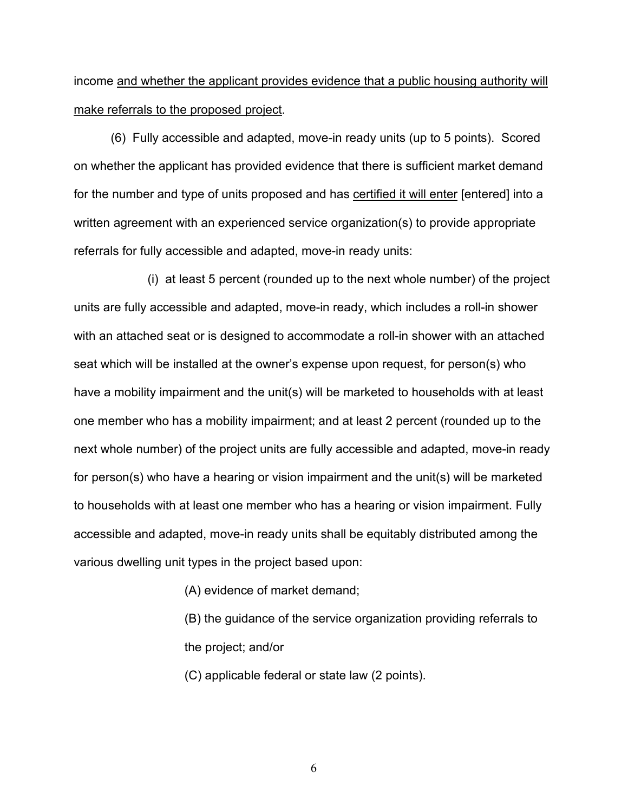income and whether the applicant provides evidence that a public housing authority will make referrals to the proposed project.

(6) Fully accessible and adapted, move-in ready units (up to 5 points). Scored on whether the applicant has provided evidence that there is sufficient market demand for the number and type of units proposed and has certified it will enter [entered] into a written agreement with an experienced service organization(s) to provide appropriate referrals for fully accessible and adapted, move-in ready units:

(i) at least 5 percent (rounded up to the next whole number) of the project units are fully accessible and adapted, move-in ready, which includes a roll-in shower with an attached seat or is designed to accommodate a roll-in shower with an attached seat which will be installed at the owner's expense upon request, for person(s) who have a mobility impairment and the unit(s) will be marketed to households with at least one member who has a mobility impairment; and at least 2 percent (rounded up to the next whole number) of the project units are fully accessible and adapted, move-in ready for person(s) who have a hearing or vision impairment and the unit(s) will be marketed to households with at least one member who has a hearing or vision impairment. Fully accessible and adapted, move-in ready units shall be equitably distributed among the various dwelling unit types in the project based upon:

(A) evidence of market demand;

(B) the guidance of the service organization providing referrals to the project; and/or

(C) applicable federal or state law (2 points).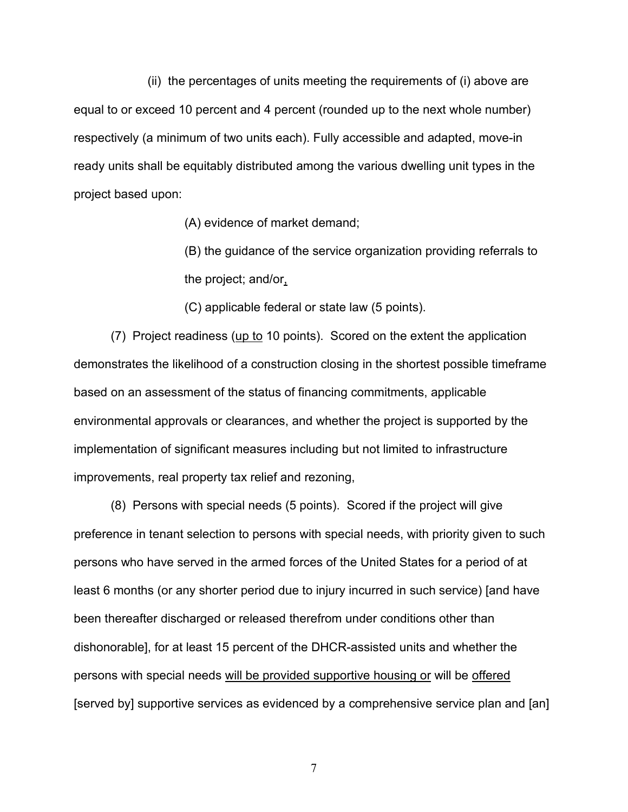(ii) the percentages of units meeting the requirements of (i) above are equal to or exceed 10 percent and 4 percent (rounded up to the next whole number) respectively (a minimum of two units each). Fully accessible and adapted, move-in ready units shall be equitably distributed among the various dwelling unit types in the project based upon:

(A) evidence of market demand;

(B) the guidance of the service organization providing referrals to the project; and/or,

(C) applicable federal or state law (5 points).

(7) Project readiness (up to 10 points). Scored on the extent the application demonstrates the likelihood of a construction closing in the shortest possible timeframe based on an assessment of the status of financing commitments, applicable environmental approvals or clearances, and whether the project is supported by the implementation of significant measures including but not limited to infrastructure improvements, real property tax relief and rezoning,

(8) Persons with special needs (5 points). Scored if the project will give preference in tenant selection to persons with special needs, with priority given to such persons who have served in the armed forces of the United States for a period of at least 6 months (or any shorter period due to injury incurred in such service) [and have been thereafter discharged or released therefrom under conditions other than dishonorable], for at least 15 percent of the DHCR-assisted units and whether the persons with special needs will be provided supportive housing or will be offered [served by] supportive services as evidenced by a comprehensive service plan and [an]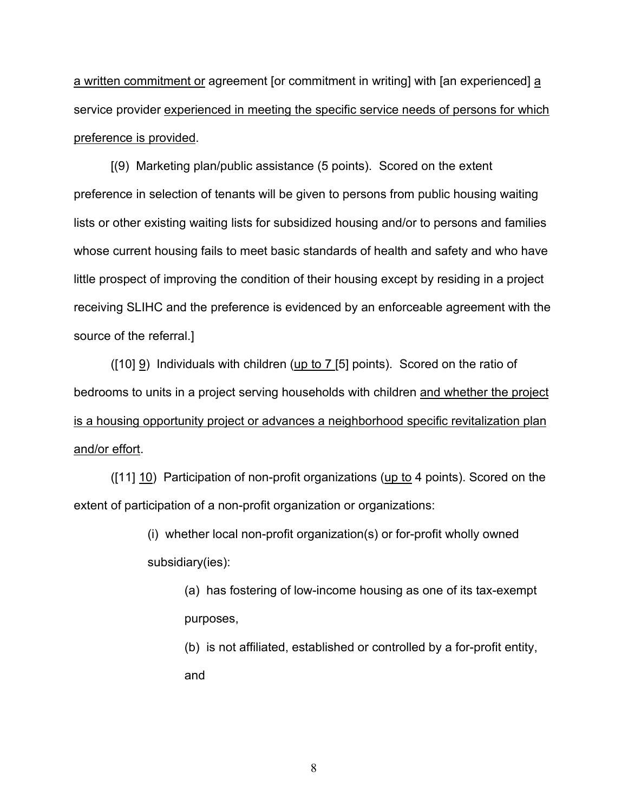a written commitment or agreement [or commitment in writing] with [an experienced] a service provider experienced in meeting the specific service needs of persons for which preference is provided.

[(9) Marketing plan/public assistance (5 points). Scored on the extent preference in selection of tenants will be given to persons from public housing waiting lists or other existing waiting lists for subsidized housing and/or to persons and families whose current housing fails to meet basic standards of health and safety and who have little prospect of improving the condition of their housing except by residing in a project receiving SLIHC and the preference is evidenced by an enforceable agreement with the source of the referral.]

 $(10)$   $\overline{9}$ ) Individuals with children (up to 7 [5] points). Scored on the ratio of bedrooms to units in a project serving households with children and whether the project is a housing opportunity project or advances a neighborhood specific revitalization plan and/or effort.

([11] 10) Participation of non-profit organizations (up to 4 points). Scored on the extent of participation of a non-profit organization or organizations:

> (i) whether local non-profit organization(s) or for-profit wholly owned subsidiary(ies):

(a) has fostering of low-income housing as one of its tax-exempt purposes,

(b) is not affiliated, established or controlled by a for-profit entity, and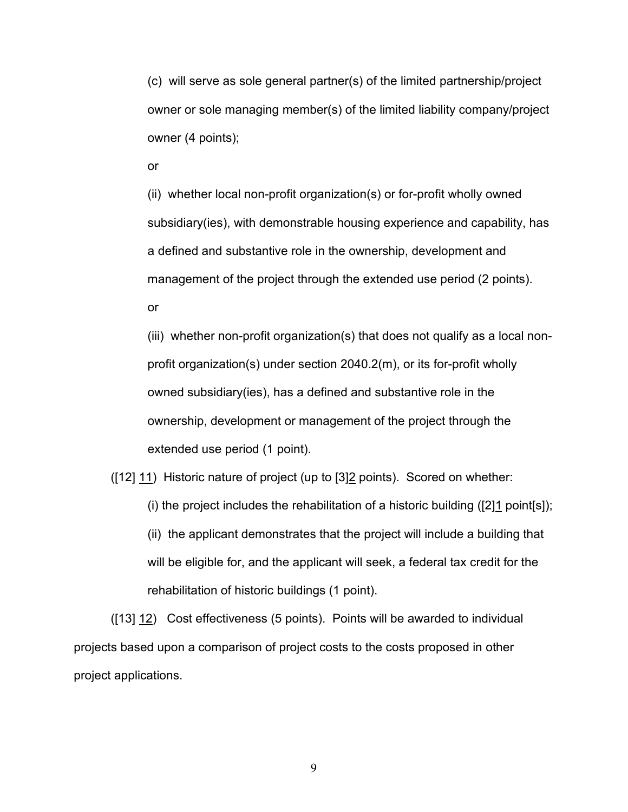(c) will serve as sole general partner(s) of the limited partnership/project owner or sole managing member(s) of the limited liability company/project owner (4 points);

or

(ii) whether local non-profit organization(s) or for-profit wholly owned subsidiary(ies), with demonstrable housing experience and capability, has a defined and substantive role in the ownership, development and management of the project through the extended use period (2 points). or

(iii) whether non-profit organization(s) that does not qualify as a local nonprofit organization(s) under section 2040.2(m), or its for-profit wholly owned subsidiary(ies), has a defined and substantive role in the ownership, development or management of the project through the extended use period (1 point).

([12] 11) Historic nature of project (up to [3]2 points). Scored on whether:

(i) the project includes the rehabilitation of a historic building ( $[2]1$  point[s]);

(ii) the applicant demonstrates that the project will include a building that will be eligible for, and the applicant will seek, a federal tax credit for the rehabilitation of historic buildings (1 point).

([13] 12) Cost effectiveness (5 points). Points will be awarded to individual projects based upon a comparison of project costs to the costs proposed in other project applications.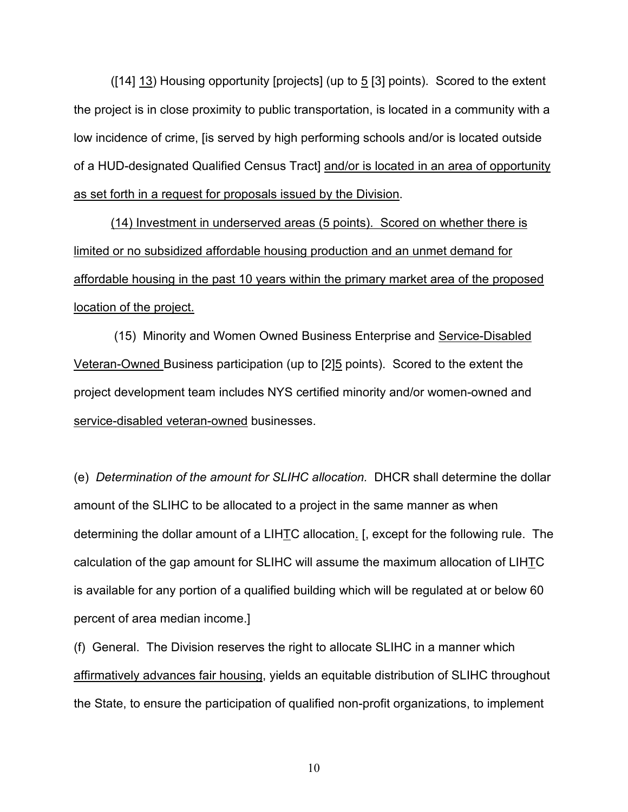$(14)$  13) Housing opportunity [projects] (up to  $5$  [3] points). Scored to the extent the project is in close proximity to public transportation, is located in a community with a low incidence of crime, [is served by high performing schools and/or is located outside of a HUD-designated Qualified Census Tract] and/or is located in an area of opportunity as set forth in a request for proposals issued by the Division.

(14) Investment in underserved areas (5 points). Scored on whether there is limited or no subsidized affordable housing production and an unmet demand for affordable housing in the past 10 years within the primary market area of the proposed location of the project.

(15) Minority and Women Owned Business Enterprise and Service-Disabled Veteran-Owned Business participation (up to [2]5 points). Scored to the extent the project development team includes NYS certified minority and/or women-owned and service-disabled veteran-owned businesses.

(e) *Determination of the amount for SLIHC allocation.* DHCR shall determine the dollar amount of the SLIHC to be allocated to a project in the same manner as when determining the dollar amount of a LIHTC allocation. [, except for the following rule. The calculation of the gap amount for SLIHC will assume the maximum allocation of LIHTC is available for any portion of a qualified building which will be regulated at or below 60 percent of area median income.]

(f) General. The Division reserves the right to allocate SLIHC in a manner which affirmatively advances fair housing, yields an equitable distribution of SLIHC throughout the State, to ensure the participation of qualified non-profit organizations, to implement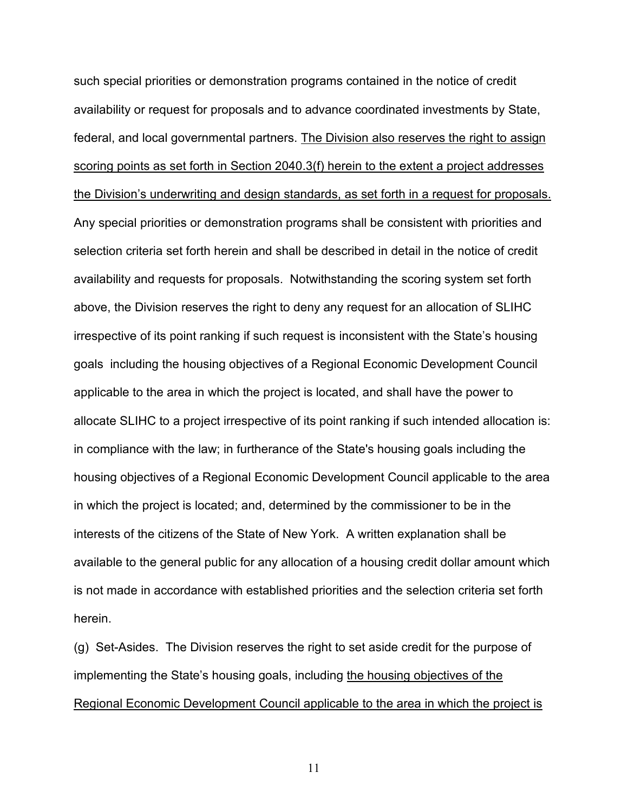such special priorities or demonstration programs contained in the notice of credit availability or request for proposals and to advance coordinated investments by State, federal, and local governmental partners. The Division also reserves the right to assign scoring points as set forth in Section 2040.3(f) herein to the extent a project addresses the Division's underwriting and design standards, as set forth in a request for proposals. Any special priorities or demonstration programs shall be consistent with priorities and selection criteria set forth herein and shall be described in detail in the notice of credit availability and requests for proposals. Notwithstanding the scoring system set forth above, the Division reserves the right to deny any request for an allocation of SLIHC irrespective of its point ranking if such request is inconsistent with the State's housing goals including the housing objectives of a Regional Economic Development Council applicable to the area in which the project is located, and shall have the power to allocate SLIHC to a project irrespective of its point ranking if such intended allocation is: in compliance with the law; in furtherance of the State's housing goals including the housing objectives of a Regional Economic Development Council applicable to the area in which the project is located; and, determined by the commissioner to be in the interests of the citizens of the State of New York. A written explanation shall be available to the general public for any allocation of a housing credit dollar amount which is not made in accordance with established priorities and the selection criteria set forth herein.

(g) Set-Asides. The Division reserves the right to set aside credit for the purpose of implementing the State's housing goals, including the housing objectives of the Regional Economic Development Council applicable to the area in which the project is